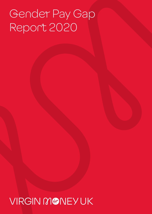# Gender Pay Gap Report 2020

## VIRGIN MONEYUK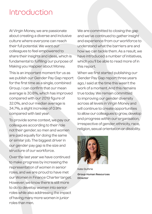### Introduction

At Virgin Money, we are passionate about creating a diverse and inclusive culture where everyone can reach their full potential. We want our colleagues to feel empowered to share their insights and ideas, which is fundamental to fulfilling our purpose of Making you Happier about Money.

This is an important moment for us as we publish our Gender Pay Gap report for the first time as a single, combined Group. I can confirm that our mean average is 30.6%, which has improved compared with our 2019 figure of 32.0%, and our median average is 34.7%, a slight increase of 0.9% compared with last year.

To provide some context, we pay our colleagues according to their role not their gender, so men and women are paid equally for doing the same or similar job. The biggest driver in our gender pay gap is the size and structure of our workforce.

Over the last year we have continued to make progress by increasing the representation of women in senior roles, and we are proud to have met our Women in Finance Charter target. However, we know there is still more to do to develop women into senior roles while also addressing the impact of having many more women in junior roles than men.

We are committed to closing the gap and we've continued to gather insight and experience from our workforce to understand what the barriers are and how we can tackle them. As a result, we have introduced a number of initiatives, which you'll be able to read more of in this report.

When we first started publishing our Gender Pay Gap report three years ago, I said at the time this wasn't the work of a moment. And this remains true today. We remain committed to improving our gender diversity across all levels in Virgin Money and will continue to create opportunities to allow our colleagues to grow, develop and progress within our organisation, irrespective of gender, ethnicity, race, religion, sexual orientation or disability.



Kate Guthrie **Group Human Resources Director**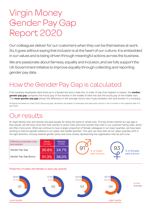## Virgin Money Gender Pay Gap Report 2020

Our colleagues deliver for our customers when they can be themselves at work. So, it goes without saying that inclusion is at the heart of our culture. It is embedded in our values and is being driven through meaningful actions across the business.

We are passionate about fairness, equality and inclusion, and we fully support the UK Government initiative to improve equality through collecting and reporting gender pay data.

### How the Gender Pay Gap is calculated

If all company employees were lined up in a female line and a male line, in order of pay from highest to lowest, the **median gender pay gap** compares the hourly pay of the woman in the middle of their line and the hourly pay of the middle man. The **mean gender pay gap** shows the difference in the average hourly rate of pay between men and women in a company.

All figures are based on 5 April 2020. Bonus pay gap calculations are based on employees who were paid a bonus in the 12 months to the snapshot date of 5 April 2020.

#### Ur results

At Virgin Money men and women are paid equally for doing the same or similar jobs. The key drivers behind our pay gap is that overall, we still have more men than women in senior roles and more women than men in our customer facing roles, which are often more junior. While we continue to have a larger proportion of female colleagues in our lower quartiles, we have been working to improve gender balance in our upper and middle quartiles. This year we have seen all our upper quartiles shift in the right direction, moving towards gender parity and more closely representing the organisation that we aim to be.

| Difference between men<br>and women | Mean<br>(average) | <b>Median</b><br>(middle) |
|-------------------------------------|-------------------|---------------------------|
| Gender Pay Gap                      | 30.6%             | 34.7%                     |
| Gender Pay Gap Bonus                | 51.3%             | 36.0%                     |
|                                     |                   |                           |



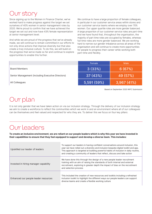#### UT STORY

Since signing up to the Women in Finance Charter, we've worked hard to make progress against the target we set ourselves of 40% women in senior management roles by 2020. We're proud to confirm that we have achieved the target we set out and now have 43% female representation at senior management level.

And while we are proud of the progress that we've already made, we will continue to remain committed in our efforts to not only drive actions that improve diversity but that also create a truly inclusive culture. To do this, we will build on the progress that we've made so far and continue to explore opportunities to enable this further.

We continue to have a large proportion of female colleagues, in particular in our customer service areas within stores and our customer service teams where we employ over 70% women. Our upper quartile roles are more gender balanced. A large proportion of our customer service roles are part-time and we have found that, throughout the organisation, the majority of part time roles are occupied by females, whereas full time roles are more gender balanced. We are working hard to narrow our gender imbalance across all areas of the organisation and will continue to create more opportunities for people to progress their career while working both part-time and flexibly.

|                                                   | Female      | Male       |
|---------------------------------------------------|-------------|------------|
| <b>Board Members</b>                              | 3(33%)      | 6(67%)     |
| Senior Management (including Executive Directors) | 37 (43%)    | 49 (57%)   |
| All Colleagues                                    | 5,591 (59%) | 3,967(41%) |

Based on September 2020 WIFC Submission

#### Our plan

It is not only gender that we have taken action on via our inclusion strategy. Through the delivery of our inclusion strategy we aim to create a workforce to reflect the communities which we work in and an environment where all of our colleagues can be themselves and feel valued and respected for who they are. To deliver this we focus on four key pillars:

#### Our leaders

**To create an inclusive environment, we are reliant on our people leaders which is why this year we have invested in their capabilities to ensure that they feel equipped to support and develop a diverse team. This includes:** 

| Upskilled our leader of leaders       | To support our leaders in having confident conversations around inclusion, this<br>year we have rolled out a diversity and inclusion bespoke digital toolkit and app.<br>This approach is targeted at building powerful habits of inclusion in daily routine.<br>and creating a community of leaders that reflect, discuss and take action |  |  |
|---------------------------------------|--------------------------------------------------------------------------------------------------------------------------------------------------------------------------------------------------------------------------------------------------------------------------------------------------------------------------------------------|--|--|
| Invested in hiring manager capability | We have done this through the design of a new people leader recruitment<br>training with an aim of raising the standards of both internal and external<br>recruitment, exploring in greater depth the impact of bias on the recruitment<br>and selection process                                                                           |  |  |
| Enhanced our people leader resources  | This included the creation of new resources and toolkits including a refreshed<br>inclusion toolkit to highlight the different ways our people leaders can support<br>diverse teams and create a flexible working culture                                                                                                                  |  |  |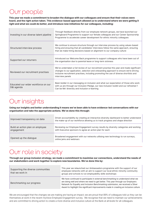#### Our people

Ë

 $\mathbb{R}^2$ 

**This year we made a commitment to broaden the dialogue with our colleagues and ensure that their voices were heard, and the right action taken. This evidence-based approach allowed us to understand where we were getting it right and what we could do better, and introduce new initiatives for our colleagues, including:**

| Investing in our diverse talent pipeline          | Through feedback directly from our employee network groups, we have launched our<br>Springboard Programme to support our female colleagues and our Career Sponsorship<br>Programme to accelerate career development for ethnic minority colleagues                                               |  |  |
|---------------------------------------------------|--------------------------------------------------------------------------------------------------------------------------------------------------------------------------------------------------------------------------------------------------------------------------------------------------|--|--|
| Structured interview process                      | We continue to ensure structure through our interview process by using values-based<br>hiring and ensuring that all candidates' interviews follow the same approach, ensuring<br>that we make hiring decisions based on alignment to our company culture                                         |  |  |
| Supported our returners                           | Introduced our Welcome Back programme to support colleagues who have been out of<br>the organisation due to parental leave or long-term sickness                                                                                                                                                 |  |  |
| Reviewed our recruitment practises                | We've undertaken a full review of our recruitment practise this year and made significant<br>changes to our application, selection and onboarding approach to ensure we're driving<br>inclusive recruitment practises, including promoting the use of diverse shortlists and<br>interview panels |  |  |
| Educated our wider workforce on our<br>D&I agenda | Been bolder in our messaging on inclusion and what our expectation of those who work<br>with us are through our Inclusion Pledge, our new inclusion toolkit and our refreshed 1<br>Can be Me' diversity and inclusion e-learning                                                                 |  |  |

#### Our insights

**Using our insights and better understanding it means we've been able to have evidence-led conversations with our organisation and take the appropriate actions. We've done this through:**

| Improved transparency on data                  | Driven accountability by creating an interactive diversity dashboard to better understand<br>the make-up of our workforce allowing us to track progress and shape direction |
|------------------------------------------------|-----------------------------------------------------------------------------------------------------------------------------------------------------------------------------|
| Build an action plan on employee<br>engagement | Reviewing our Employee Engagement survey results by diversity categories and working<br>with Executive sponsors to agree an action plan for each                            |
| Opened up the dialogue                         | Broadened engagement with our networks utilising new technology to run surveys,<br>online jams and webinars                                                                 |

#### Our role in society

**Through our group inclusion strategy, we made a commitment to maximise our connections, understand the needs of our stakeholders and work together to explore new boundaries. We've done this by:**

| Supporting the diverse communities<br>that we work in | This year we relaunched our Ambassadors programme with the support of our<br>employee networks with an aim to support our local ethnic minority community<br>groups and schools to run employability skills workshops                                                                                                                           |
|-------------------------------------------------------|-------------------------------------------------------------------------------------------------------------------------------------------------------------------------------------------------------------------------------------------------------------------------------------------------------------------------------------------------|
| Benchmarking our progress                             | We have continued to participate in external benchmarking to understand what we<br>are doing well and where we need to get better. This year through our Employers<br>Network for Equality and Inclusion Benchmarking submission, we received a Silver<br>Award to highlight the significant improvements made in creating an inclusive culture |

We are encouraged that the changes we are making are having an impact; we are proud that 89% of colleagues told us they can be themselves at work in the recent myVoice Employee Engagement survey. We recognise that we need to maintain our achievements and are committed to driving action to create a more diverse and inclusive culture at the Bank at all levels for all colleagues.